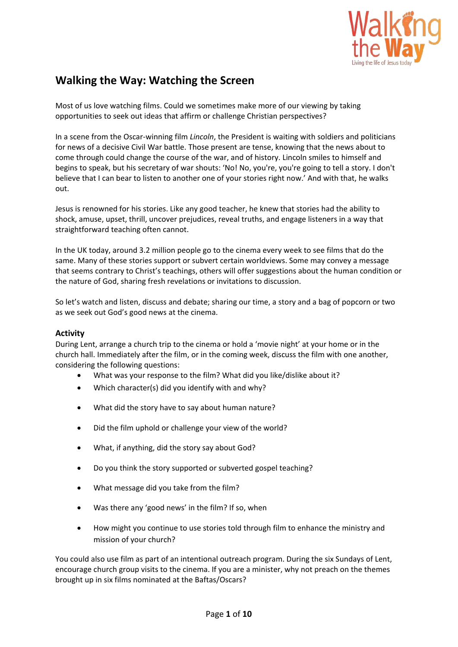

# **Walking the Way: Watching the Screen**

Most of us love watching films. Could we sometimes make more of our viewing by taking opportunities to seek out ideas that affirm or challenge Christian perspectives?

In a scene from the Oscar-winning film *Lincoln*, the President is waiting with soldiers and politicians for news of a decisive Civil War battle. Those present are tense, knowing that the news about to come through could change the course of the war, and of history. Lincoln smiles to himself and begins to speak, but his secretary of war shouts: 'No! No, you're, you're going to tell a story. I don't believe that I can bear to listen to another one of your stories right now.' And with that, he walks out.

Jesus is renowned for his stories. Like any good teacher, he knew that stories had the ability to shock, amuse, upset, thrill, uncover prejudices, reveal truths, and engage listeners in a way that straightforward teaching often cannot.

In the UK today, around 3.2 million people go to the cinema every week to see films that do the same. Many of these stories support or subvert certain worldviews. Some may convey a message that seems contrary to Christ's teachings, others will offer suggestions about the human condition or the nature of God, sharing fresh revelations or invitations to discussion.

So let's watch and listen, discuss and debate; sharing our time, a story and a bag of popcorn or two as we seek out God's good news at the cinema.

#### **Activity**

During Lent, arrange a church trip to the cinema or hold a 'movie night' at your home or in the church hall. Immediately after the film, or in the coming week, discuss the film with one another, considering the following questions:

- What was your response to the film? What did you like/dislike about it?
- Which character(s) did you identify with and why?
- What did the story have to say about human nature?
- Did the film uphold or challenge your view of the world?
- What, if anything, did the story say about God?
- Do you think the story supported or subverted gospel teaching?
- What message did you take from the film?
- Was there any 'good news' in the film? If so, when
- How might you continue to use stories told through film to enhance the ministry and mission of your church?

You could also use film as part of an intentional outreach program. During the six Sundays of Lent, encourage church group visits to the cinema. If you are a minister, why not preach on the themes brought up in six films nominated at the Baftas/Oscars?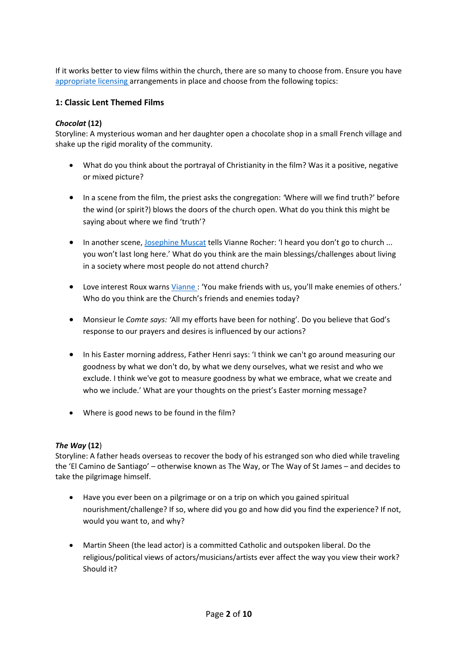If it works better to view films within the church, there are so many to choose from. Ensure you have [appropriate licensing](https://uk.ccli.com/) arrangements in place and choose from the following topics:

### **1: Classic Lent Themed Films**

#### *Chocolat* **(12)**

Storyline: A mysterious woman and her daughter open a chocolate shop in a small French village and shake up the rigid morality of the community.

- What do you think about the portrayal of Christianity in the film? Was it a positive, negative or mixed picture?
- In a scene from the film, the priest asks the congregation: *'*Where will we find truth?' before the wind (or spirit?) blows the doors of the church open. What do you think this might be saying about where we find 'truth'?
- In another scene, [Josephine Muscat](http://www.imdb.com/title/tt0241303/characters/nm0000565?ref_=ttfc_fc_cl_t13) tells Vianne Rocher: 'I heard you don't go to church ... you won't last long here.' What do you think are the main blessings/challenges about living in a society where most people do not attend church?
- Love interest Roux warns [Vianne :](http://www.imdb.com/name/nm0000300/?ref_=tt_trv_qu) 'You make friends with us, you'll make enemies of others.' Who do you think are the Church's friends and enemies today?
- Monsieur le *Comte says: '*All my efforts have been for nothing'. Do you believe that God's response to our prayers and desires is influenced by our actions?
- In his Easter morning address, Father Henri says: 'I think we can't go around measuring our goodness by what we don't do, by what we deny ourselves, what we resist and who we exclude. I think we've got to measure goodness by what we embrace, what we create and who we include.' What are your thoughts on the priest's Easter morning message?
- Where is good news to be found in the film?

#### *The Way* **(12**)

Storyline: A father heads overseas to recover the body of his estranged son who died while traveling the 'El Camino de Santiago' – otherwise known as The Way, or The Way of St James – and decides to take the pilgrimage himself.

- Have you ever been on a pilgrimage or on a trip on which you gained spiritual nourishment/challenge? If so, where did you go and how did you find the experience? If not, would you want to, and why?
- Martin Sheen (the lead actor) is a committed Catholic and outspoken liberal. Do the religious/political views of actors/musicians/artists ever affect the way you view their work? Should it?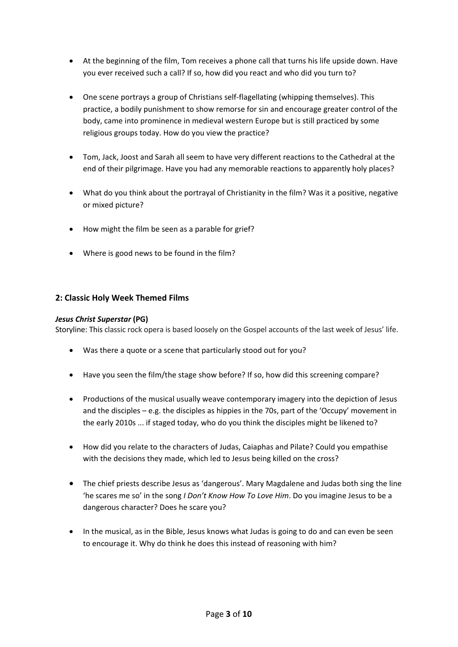- At the beginning of the film, Tom receives a phone call that turns his life upside down. Have you ever received such a call? If so, how did you react and who did you turn to?
- One scene portrays a group of Christians self-flagellating (whipping themselves). This practice, a bodily punishment to show remorse for sin and encourage greater control of the body, came into prominence in medieval western Europe but is still practiced by some religious groups today. How do you view the practice?
- Tom, Jack, Joost and Sarah all seem to have very different reactions to the Cathedral at the end of their pilgrimage. Have you had any memorable reactions to apparently holy places?
- What do you think about the portrayal of Christianity in the film? Was it a positive, negative or mixed picture?
- How might the film be seen as a parable for grief?
- Where is good news to be found in the film?

# **2: Classic Holy Week Themed Films**

#### *Jesus Christ Superstar* **(PG)**

Storyline: This classic rock opera is based loosely on the Gospel accounts of the last week of Jesus' life.

- Was there a quote or a scene that particularly stood out for you?
- Have you seen the film/the stage show before? If so, how did this screening compare?
- Productions of the musical usually weave contemporary imagery into the depiction of Jesus and the disciples – e.g. the disciples as hippies in the 70s, part of the 'Occupy' movement in the early 2010s ... if staged today, who do you think the disciples might be likened to?
- How did you relate to the characters of Judas, Caiaphas and Pilate? Could you empathise with the decisions they made, which led to Jesus being killed on the cross?
- The chief priests describe Jesus as 'dangerous'. Mary Magdalene and Judas both sing the line 'he scares me so' in the song *I Don't Know How To Love Him*. Do you imagine Jesus to be a dangerous character? Does he scare you?
- In the musical, as in the Bible, Jesus knows what Judas is going to do and can even be seen to encourage it. Why do think he does this instead of reasoning with him?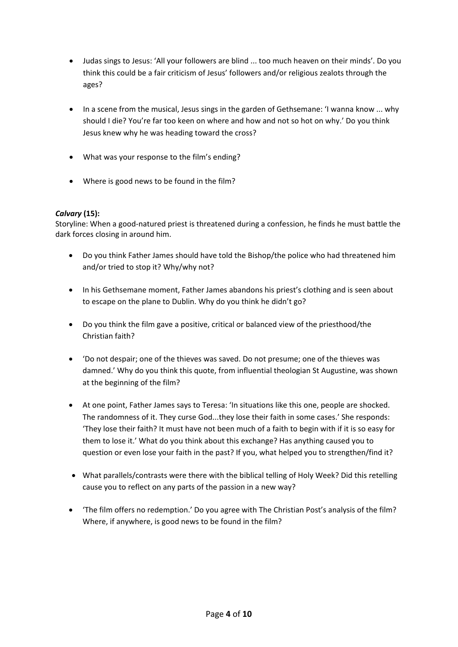- Judas sings to Jesus: 'All your followers are blind ... too much heaven on their minds'. Do you think this could be a fair criticism of Jesus' followers and/or religious zealots through the ages?
- In a scene from the musical, Jesus sings in the garden of Gethsemane: 'I wanna know ... why should I die? You're far too keen on where and how and not so hot on why.' Do you think Jesus knew why he was heading toward the cross?
- What was your response to the film's ending?
- Where is good news to be found in the film?

### *Calvary* **(15):**

Storyline: When a good-natured priest is threatened during a confession, he finds he must battle the dark forces closing in around him.

- Do you think Father James should have told the Bishop/the police who had threatened him and/or tried to stop it? Why/why not?
- In his Gethsemane moment, Father James abandons his priest's clothing and is seen about to escape on the plane to Dublin. Why do you think he didn't go?
- Do you think the film gave a positive, critical or balanced view of the priesthood/the Christian faith?
- 'Do not despair; one of the thieves was saved. Do not presume; one of the thieves was damned.' Why do you think this quote, from influential theologian St Augustine, was shown at the beginning of the film?
- At one point, Father James says to Teresa: 'In situations like this one, people are shocked. The randomness of it. They curse God...they lose their faith in some cases.' She responds: 'They lose their faith? It must have not been much of a faith to begin with if it is so easy for them to lose it.' What do you think about this exchange? Has anything caused you to question or even lose your faith in the past? If you, what helped you to strengthen/find it?
- What parallels/contrasts were there with the biblical telling of Holy Week? Did this retelling cause you to reflect on any parts of the passion in a new way?
- 'The film offers no redemption.' Do you agree with The Christian Post's analysis of the film? Where, if anywhere, is good news to be found in the film?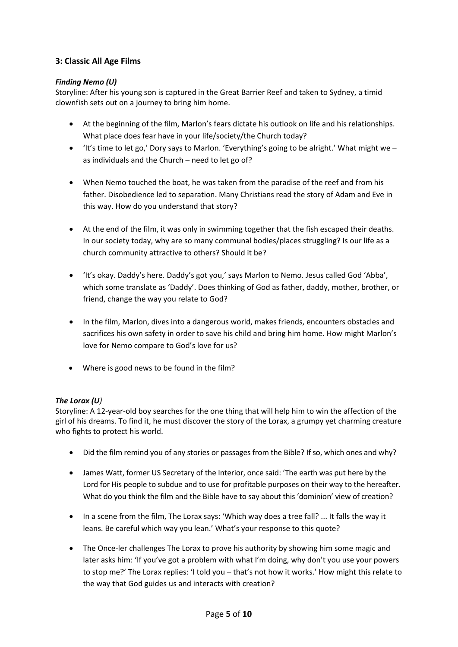# **3: Classic All Age Films**

# *Finding Nemo (U)*

Storyline: After his young son is captured in the Great Barrier Reef and taken to Sydney, a timid clownfish sets out on a journey to bring him home.

- At the beginning of the film, Marlon's fears dictate his outlook on life and his relationships. What place does fear have in your life/society/the Church today?
- $\bullet$  'It's time to let go,' Dory says to Marlon. 'Everything's going to be alright.' What might we as individuals and the Church – need to let go of?
- When Nemo touched the boat, he was taken from the paradise of the reef and from his father. Disobedience led to separation. Many Christians read the story of Adam and Eve in this way. How do you understand that story?
- At the end of the film, it was only in swimming together that the fish escaped their deaths. In our society today, why are so many communal bodies/places struggling? Is our life as a church community attractive to others? Should it be?
- 'It's okay. Daddy's here. Daddy's got you,' says Marlon to Nemo. Jesus called God 'Abba', which some translate as 'Daddy'. Does thinking of God as father, daddy, mother, brother, or friend, change the way you relate to God?
- In the film, Marlon, dives into a dangerous world, makes friends, encounters obstacles and sacrifices his own safety in order to save his child and bring him home. How might Marlon's love for Nemo compare to God's love for us?
- Where is good news to be found in the film?

# *The Lorax (U)*

Storyline: A 12-year-old boy searches for the one thing that will help him to win the affection of the girl of his dreams. To find it, he must discover the story of the Lorax, a grumpy yet charming creature who fights to protect his world.

- Did the film remind you of any stories or passages from the Bible? If so, which ones and why?
- James Watt, former US Secretary of the Interior, once said: 'The earth was put here by the Lord for His people to subdue and to use for profitable purposes on their way to the hereafter. What do you think the film and the Bible have to say about this 'dominion' view of creation?
- In a scene from the film, The Lorax says: 'Which way does a tree fall? ... It falls the way it leans. Be careful which way you lean.' What's your response to this quote?
- The Once-ler challenges The Lorax to prove his authority by showing him some magic and later asks him: 'If you've got a problem with what I'm doing, why don't you use your powers to stop me?' The Lorax replies: 'I told you – that's not how it works.' How might this relate to the way that God guides us and interacts with creation?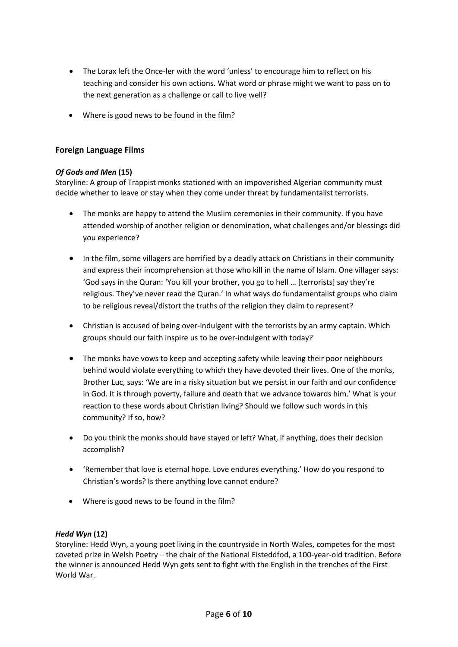- The Lorax left the Once-ler with the word 'unless' to encourage him to reflect on his teaching and consider his own actions. What word or phrase might we want to pass on to the next generation as a challenge or call to live well?
- Where is good news to be found in the film?

# **Foreign Language Films**

# *Of Gods and Men* **(15)**

Storyline: A group of Trappist monks stationed with an impoverished Algerian community must decide whether to leave or stay when they come under threat by fundamentalist terrorists.

- The monks are happy to attend the Muslim ceremonies in their community. If you have attended worship of another religion or denomination, what challenges and/or blessings did you experience?
- In the film, some villagers are horrified by a deadly attack on Christians in their community and express their incomprehension at those who kill in the name of Islam. One villager says: 'God says in the Quran: 'You kill your brother, you go to hell … [terrorists] say they're religious. They've never read the Quran.' In what ways do fundamentalist groups who claim to be religious reveal/distort the truths of the religion they claim to represent?
- Christian is accused of being over-indulgent with the terrorists by an army captain. Which groups should our faith inspire us to be over-indulgent with today?
- The monks have vows to keep and accepting safety while leaving their poor neighbours behind would violate everything to which they have devoted their lives. One of the monks, Brother Luc, says: 'We are in a risky situation but we persist in our faith and our confidence in God. It is through poverty, failure and death that we advance towards him.' What is your reaction to these words about Christian living? Should we follow such words in this community? If so, how?
- Do you think the monks should have stayed or left? What, if anything, does their decision accomplish?
- 'Remember that love is eternal hope. Love endures everything.' How do you respond to Christian's words? Is there anything love cannot endure?
- Where is good news to be found in the film?

# *Hedd Wyn* **(12)**

Storyline: Hedd Wyn, a young poet living in the countryside in North Wales, competes for the most coveted prize in Welsh Poetry – the chair of the National Eisteddfod, a 100-year-old tradition. Before the winner is announced Hedd Wyn gets sent to fight with the English in the trenches of the First World War.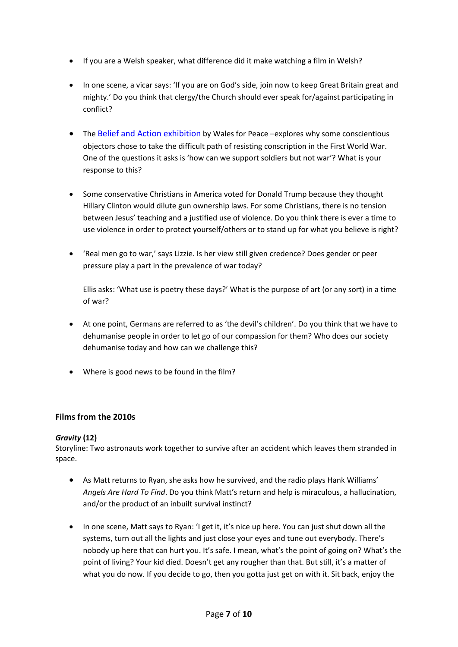- If you are a Welsh speaker, what difference did it make watching a film in Welsh?
- In one scene, a vicar says: 'If you are on God's side, join now to keep Great Britain great and mighty.' Do you think that clergy/the Church should ever speak for/against participating in conflict?
- The [Belief and Action exhibition](http://www.walesforpeace.org/wfp/theme_belief_and_action.html) by Wales for Peace –explores why some conscientious objectors chose to take the difficult path of resisting conscription in the First World War. One of the questions it asks is 'how can we support soldiers but not war'? What is your response to this?
- Some conservative Christians in America voted for Donald Trump because they thought Hillary Clinton would dilute gun ownership laws. For some Christians, there is no tension between Jesus' teaching and a justified use of violence. Do you think there is ever a time to use violence in order to protect yourself/others or to stand up for what you believe is right?
- 'Real men go to war,' says Lizzie. Is her view still given credence? Does gender or peer pressure play a part in the prevalence of war today?

Ellis asks: 'What use is poetry these days?' What is the purpose of art (or any sort) in a time of war?

- At one point, Germans are referred to as 'the devil's children'. Do you think that we have to dehumanise people in order to let go of our compassion for them? Who does our society dehumanise today and how can we challenge this?
- Where is good news to be found in the film?

# **Films from the 2010s**

# *Gravity* **(12)**

Storyline: Two astronauts work together to survive after an accident which leaves them stranded in space.

- As Matt returns to Ryan, she asks how he survived, and the radio plays Hank Williams' *Angels Are Hard To Find*. Do you think Matt's return and help is miraculous, a hallucination, and/or the product of an inbuilt survival instinct?
- In one scene, Matt says to Ryan: 'I get it, it's nice up here. You can just shut down all the systems, turn out all the lights and just close your eyes and tune out everybody. There's nobody up here that can hurt you. It's safe. I mean, what's the point of going on? What's the point of living? Your kid died. Doesn't get any rougher than that. But still, it's a matter of what you do now. If you decide to go, then you gotta just get on with it. Sit back, enjoy the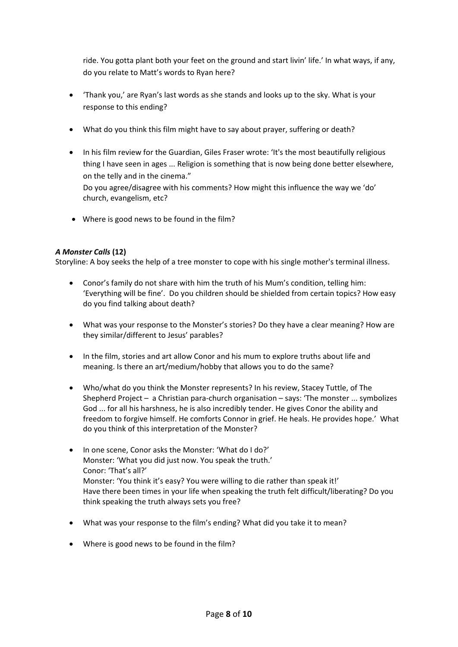ride. You gotta plant both your feet on the ground and start livin' life.' In what ways, if any, do you relate to Matt's words to Ryan here?

- 'Thank you,' are Ryan's last words as she stands and looks up to the sky. What is your response to this ending?
- What do you think this film might have to say about prayer, suffering or death?
- In his film review for the Guardian, Giles Fraser wrote: 'It's the most beautifully religious thing I have seen in ages ... Religion is something that is now being done better elsewhere, on the telly and in the cinema." Do you agree/disagree with his comments? How might this influence the way we 'do' church, evangelism, etc?
- Where is good news to be found in the film?

### *A Monster Calls* **(12)**

Storyline: A boy seeks the help of a tree monster to cope with his single mother's terminal illness.

- Conor's family do not share with him the truth of his Mum's condition, telling him: 'Everything will be fine'. Do you children should be shielded from certain topics? How easy do you find talking about death?
- What was your response to the Monster's stories? Do they have a clear meaning? How are they similar/different to Jesus' parables?
- In the film, stories and art allow Conor and his mum to explore truths about life and meaning. Is there an art/medium/hobby that allows you to do the same?
- Who/what do you think the Monster represents? In his review, Stacey Tuttle, of The Shepherd Project – a Christian para-church organisation – says: 'The monster ... symbolizes God ... for all his harshness, he is also incredibly tender. He gives Conor the ability and freedom to forgive himself. He comforts Connor in grief. He heals. He provides hope.' What do you think of this interpretation of the Monster?
- In one scene, Conor asks the Monster: 'What do I do?' Monster: 'What you did just now. You speak the truth.' Conor: 'That's all?' Monster: 'You think it's easy? You were willing to die rather than speak it!' Have there been times in your life when speaking the truth felt difficult/liberating? Do you think speaking the truth always sets you free?
- What was your response to the film's ending? What did you take it to mean?
- Where is good news to be found in the film?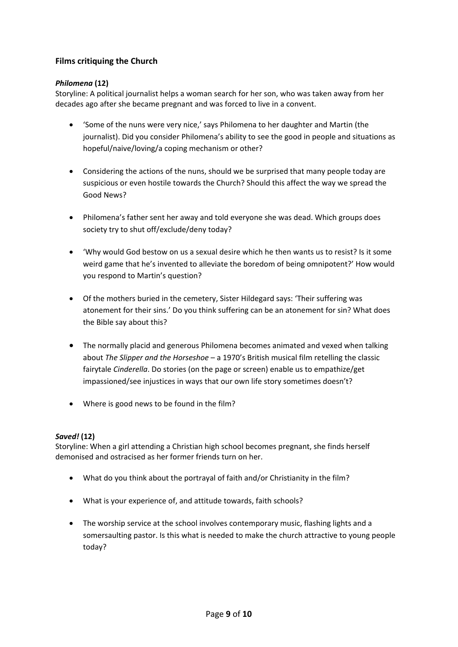# **Films critiquing the Church**

### *Philomena* **(12)**

Storyline: A political journalist helps a woman search for her son, who was taken away from her decades ago after she became pregnant and was forced to live in a convent.

- 'Some of the nuns were very nice,' says Philomena to her daughter and Martin (the journalist). Did you consider Philomena's ability to see the good in people and situations as hopeful/naive/loving/a coping mechanism or other?
- Considering the actions of the nuns, should we be surprised that many people today are suspicious or even hostile towards the Church? Should this affect the way we spread the Good News?
- Philomena's father sent her away and told everyone she was dead. Which groups does society try to shut off/exclude/deny today?
- 'Why would God bestow on us a sexual desire which he then wants us to resist? Is it some weird game that he's invented to alleviate the boredom of being omnipotent?' How would you respond to Martin's question?
- Of the mothers buried in the cemetery, Sister Hildegard says: 'Their suffering was atonement for their sins.' Do you think suffering can be an atonement for sin? What does the Bible say about this?
- The normally placid and generous Philomena becomes animated and vexed when talking about *The Slipper and the Horseshoe* – a 1970's British musical film retelling the classic fairytale *Cinderella*. Do stories (on the page or screen) enable us to empathize/get impassioned/see injustices in ways that our own life story sometimes doesn't?
- Where is good news to be found in the film?

# *Saved!* **(12)**

Storyline: When a girl attending a Christian high school becomes pregnant, she finds herself demonised and ostracised as her former friends turn on her.

- What do you think about the portrayal of faith and/or Christianity in the film?
- What is your experience of, and attitude towards, faith schools?
- The worship service at the school involves contemporary music, flashing lights and a somersaulting pastor. Is this what is needed to make the church attractive to young people today?